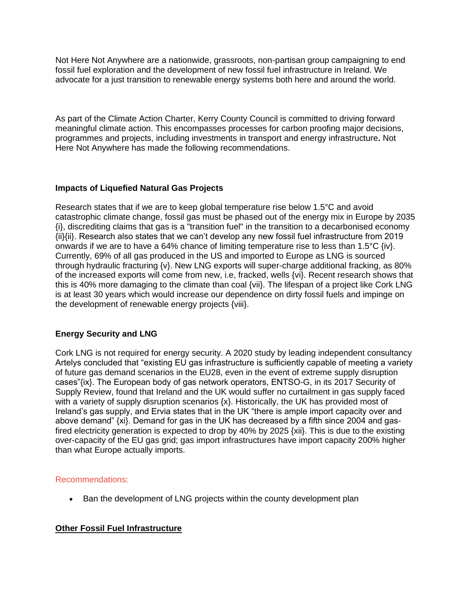Not Here Not Anywhere are a nationwide, grassroots, non-partisan group campaigning to end fossil fuel exploration and the development of new fossil fuel infrastructure in Ireland. We advocate for a just transition to renewable energy systems both here and around the world.

As part of the Climate Action Charter, Kerry County Council is committed to driving forward meaningful climate action. This encompasses processes for carbon proofing major decisions, programmes and projects, including investments in transport and energy infrastructure**.** Not Here Not Anywhere has made the following recommendations.

## **Impacts of Liquefied Natural Gas Projects**

Research states that if we are to keep global temperature rise below 1.5°C and avoid catastrophic climate change, fossil gas must be phased out of the energy mix in Europe by 2035 {i}, discrediting claims that gas is a "transition fuel" in the transition to a decarbonised economy {ii}{ii}. Research also states that we can't develop any new fossil fuel infrastructure from 2019 onwards if we are to have a 64% chance of limiting temperature rise to less than 1.5°C {iv}. Currently, 69% of all gas produced in the US and imported to Europe as LNG is sourced through hydraulic fracturing {v}. New LNG exports will super-charge additional fracking, as 80% of the increased exports will come from new, i.e, fracked, wells {vi}. Recent research shows that this is 40% more damaging to the climate than coal {vii}. The lifespan of a project like Cork LNG is at least 30 years which would increase our dependence on dirty fossil fuels and impinge on the development of renewable energy projects {viii}.

## **Energy Security and LNG**

Cork LNG is not required for energy security. A 2020 study by leading independent consultancy Artelys concluded that "existing EU gas infrastructure is sufficiently capable of meeting a variety of future gas demand scenarios in the EU28, even in the event of extreme supply disruption cases"{ix}. The European body of gas network operators, ENTSO-G, in its 2017 Security of Supply Review, found that Ireland and the UK would suffer no curtailment in gas supply faced with a variety of supply disruption scenarios {x}. Historically, the UK has provided most of Ireland's gas supply, and Ervia states that in the UK "there is ample import capacity over and above demand" {xi}. Demand for gas in the UK has decreased by a fifth since 2004 and gasfired electricity generation is expected to drop by 40% by 2025 {xii}. This is due to the existing over-capacity of the EU gas grid; gas import infrastructures have import capacity 200% higher than what Europe actually imports.

## Recommendations:

• Ban the development of LNG projects within the county development plan

# **Other Fossil Fuel Infrastructure**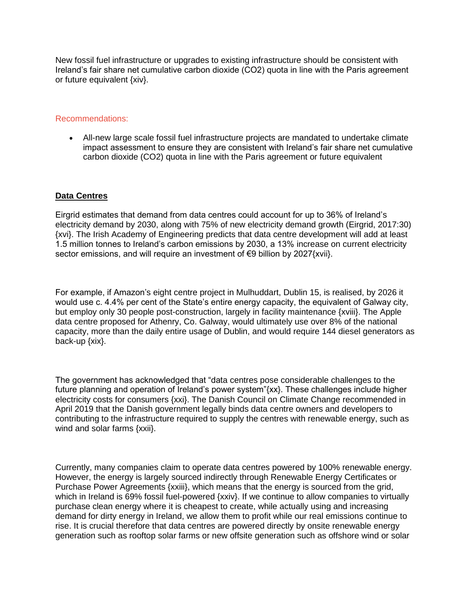New fossil fuel infrastructure or upgrades to existing infrastructure should be consistent with Ireland's fair share net cumulative carbon dioxide (CO2) quota in line with the Paris agreement or future equivalent {xiv}.

### Recommendations:

• All-new large scale fossil fuel infrastructure projects are mandated to undertake climate impact assessment to ensure they are consistent with Ireland's fair share net cumulative carbon dioxide (CO2) quota in line with the Paris agreement or future equivalent

## **Data Centres**

Eirgrid estimates that demand from data centres could account for up to 36% of Ireland's electricity demand by 2030, along with 75% of new electricity demand growth (Eirgrid, 2017:30) {xvi}. The Irish Academy of Engineering predicts that data centre development will add at least 1.5 million tonnes to Ireland's carbon emissions by 2030, a 13% increase on current electricity sector emissions, and will require an investment of €9 billion by 2027{xvii}.

For example, if Amazon's eight centre project in Mulhuddart, Dublin 15, is realised, by 2026 it would use c. 4.4% per cent of the State's entire energy capacity, the equivalent of Galway city, but employ only 30 people post-construction, largely in facility maintenance {xviii}. The Apple data centre proposed for Athenry, Co. Galway, would ultimately use over 8% of the national capacity, more than the daily entire usage of Dublin, and would require 144 diesel generators as back-up {xix}.

The government has acknowledged that "data centres pose considerable challenges to the future planning and operation of Ireland's power system"{xx}. These challenges include higher electricity costs for consumers {xxi}. The Danish Council on Climate Change recommended in April 2019 that the Danish government legally binds data centre owners and developers to contributing to the infrastructure required to supply the centres with renewable energy, such as wind and solar farms {xxii}.

Currently, many companies claim to operate data centres powered by 100% renewable energy. However, the energy is largely sourced indirectly through Renewable Energy Certificates or Purchase Power Agreements {xxiii}, which means that the energy is sourced from the grid, which in Ireland is 69% fossil fuel-powered {xxiv}. If we continue to allow companies to virtually purchase clean energy where it is cheapest to create, while actually using and increasing demand for dirty energy in Ireland, we allow them to profit while our real emissions continue to rise. It is crucial therefore that data centres are powered directly by onsite renewable energy generation such as rooftop solar farms or new offsite generation such as offshore wind or solar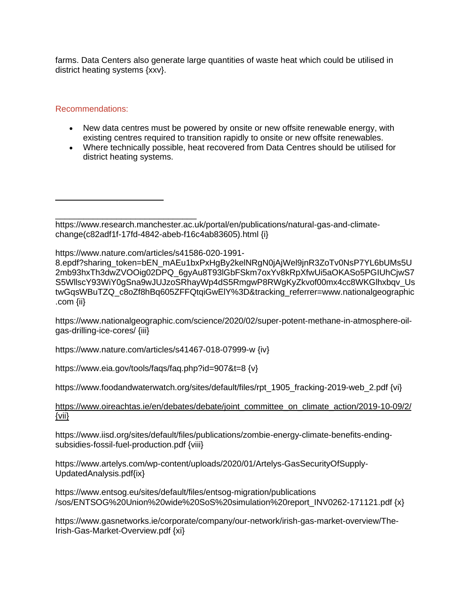farms. Data Centers also generate large quantities of waste heat which could be utilised in district heating systems {xxv}.

### Recommendations:

 $\overline{a}$ 

- New data centres must be powered by onsite or new offsite renewable energy, with existing centres required to transition rapidly to onsite or new offsite renewables.
- Where technically possible, heat recovered from Data Centres should be utilised for district heating systems.

https://www.nature.com/articles/s41586-020-1991-

8.epdf?sharing\_token=bEN\_mAEu1bxPxHgBy2kelNRgN0jAjWel9jnR3ZoTv0NsP7YL6bUMs5U 2mb93hxTh3dwZVOOig02DPQ\_6gyAu8T93lGbFSkm7oxYv8kRpXfwUi5aOKASo5PGIUhCjwS7 S5WllscY93WiY0gSna9wJUJzoSRhayWp4dS5RmgwP8RWgKyZkvof00mx4cc8WKGlhxbqv\_Us twGqsWBuTZQ\_c8oZf8hBq605ZFFQtqiGwElY%3D&tracking\_referrer=www.nationalgeographic .com {ii}

https://www.nationalgeographic.com/science/2020/02/super-potent-methane-in-atmosphere-oilgas-drilling-ice-cores/ {iii}

https://www.nature.com/articles/s41467-018-07999-w {iv}

https://www.eia.gov/tools/faqs/faq.php?id=907&t=8 {v}

https://www.foodandwaterwatch.org/sites/default/files/rpt\_1905\_fracking-2019-web\_2.pdf {vi}

#### [https://www.oireachtas.ie/en/debates/debate/joint\\_committee\\_on\\_climate\\_action/2019-10-09/2/](https://www.oireachtas.ie/en/debates/debate/joint_committee_on_climate_action/2019-10-09/2/)  [{vii}](https://www.oireachtas.ie/en/debates/debate/joint_committee_on_climate_action/2019-10-09/2/)

https://www.iisd.org/sites/default/files/publications/zombie-energy-climate-benefits-endingsubsidies-fossil-fuel-production.pdf {viii}

https://www.artelys.com/wp-content/uploads/2020/01/Artelys-GasSecurityOfSupply-UpdatedAnalysis.pdf{ix}

https://www.entsog.eu/sites/default/files/entsog-migration/publications /sos/ENTSOG%20Union%20wide%20SoS%20simulation%20report\_INV0262-171121.pdf {x}

https://www.gasnetworks.ie/corporate/company/our-network/irish-gas-market-overview/The-Irish-Gas-Market-Overview.pdf {xi}

\_\_\_\_\_\_\_\_\_\_\_\_\_\_\_\_\_\_\_\_\_\_\_\_\_\_\_\_\_\_ https://www.research.manchester.ac.uk/portal/en/publications/natural-gas-and-climatechange(c82adf1f-17fd-4842-abeb-f16c4ab83605).html {i}